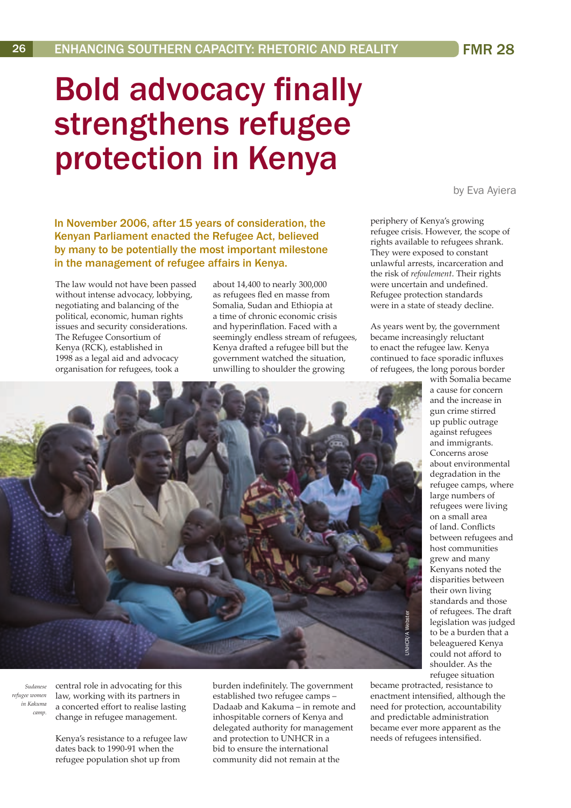## Bold advocacy finally strengthens refugee protection in Kenya

In November 2006, after 15 years of consideration, the Kenyan Parliament enacted the Refugee Act, believed by many to be potentially the most important milestone in the management of refugee affairs in Kenya.

The law would not have been passed without intense advocacy, lobbying, negotiating and balancing of the political, economic, human rights issues and security considerations. The Refugee Consortium of Kenya (RCK), established in 1998 as a legal aid and advocacy organisation for refugees, took a

about 14,400 to nearly 300,000 as refugees fled en masse from Somalia, Sudan and Ethiopia at a time of chronic economic crisis and hyperinflation. Faced with a seemingly endless stream of refugees, Kenya drafted a refugee bill but the government watched the situation, unwilling to shoulder the growing

by Eva Ayiera

periphery of Kenya's growing refugee crisis. However, the scope of rights available to refugees shrank. They were exposed to constant unlawful arrests, incarceration and the risk of *refoulement*. Their rights were uncertain and undefined. Refugee protection standards were in a state of steady decline.

As years went by, the government became increasingly reluctant to enact the refugee law. Kenya continued to face sporadic influxes of refugees, the long porous border

> with Somalia became a cause for concern and the increase in gun crime stirred up public outrage against refugees and immigrants. Concerns arose about environmental degradation in the refugee camps, where large numbers of refugees were living on a small area of land. Conflicts between refugees and host communities grew and many Kenyans noted the disparities between their own living standards and those of refugees. The draft legislation was judged to be a burden that a beleaguered Kenya could not afford to shoulder. As the refugee situation

became protracted, resistance to enactment intensified, although the need for protection, accountability and predictable administration became ever more apparent as the needs of refugees intensified.

central role in advocating for this law, working with its partners in a concerted effort to realise lasting change in refugee management.

*Sudanese refugee women in Kakuma camp.* 

> Kenya's resistance to a refugee law dates back to 1990-91 when the refugee population shot up from

burden indefinitely. The government established two refugee camps – Dadaab and Kakuma – in remote and inhospitable corners of Kenya and delegated authority for management and protection to UNHCR in a bid to ensure the international community did not remain at the